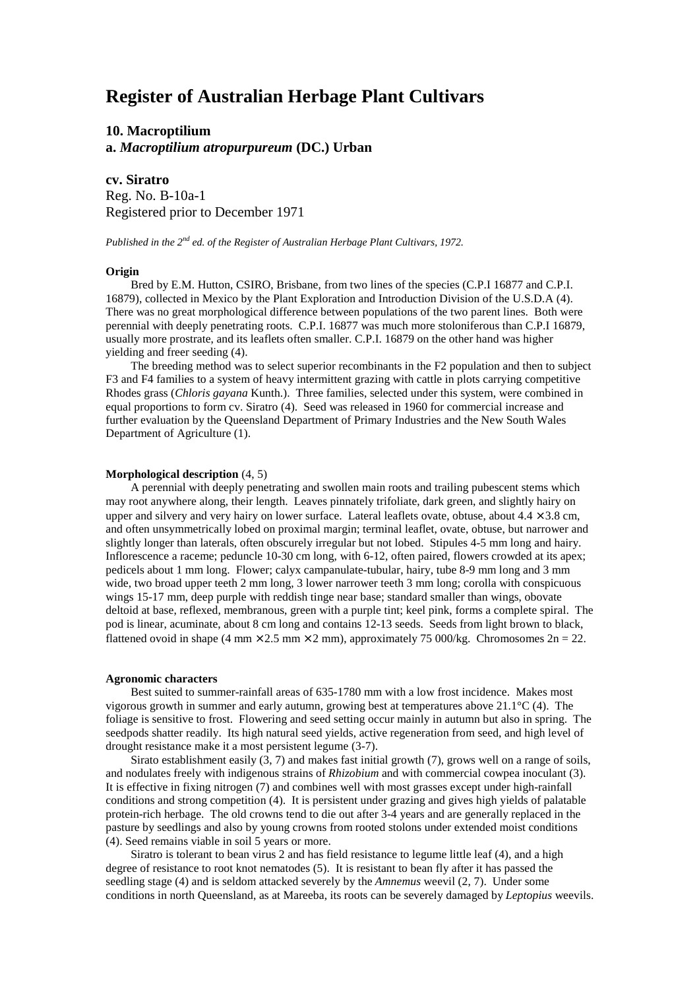# **Register of Australian Herbage Plant Cultivars**

**10. Macroptilium a.** *Macroptilium atropurpureum* **(DC.) Urban**

**cv. Siratro** Reg. No. B-10a-1

Registered prior to December 1971

*Published in the 2nd ed. of the Register of Australian Herbage Plant Cultivars, 1972.*

## **Origin**

Bred by E.M. Hutton, CSIRO, Brisbane, from two lines of the species (C.P.I 16877 and C.P.I. 16879), collected in Mexico by the Plant Exploration and Introduction Division of the U.S.D.A (4). There was no great morphological difference between populations of the two parent lines. Both were perennial with deeply penetrating roots. C.P.I. 16877 was much more stoloniferous than C.P.I 16879, usually more prostrate, and its leaflets often smaller. C.P.I. 16879 on the other hand was higher yielding and freer seeding (4).

The breeding method was to select superior recombinants in the F2 population and then to subject F3 and F4 families to a system of heavy intermittent grazing with cattle in plots carrying competitive Rhodes grass (*Chloris gayana* Kunth.). Three families, selected under this system, were combined in equal proportions to form cv. Siratro (4). Seed was released in 1960 for commercial increase and further evaluation by the Queensland Department of Primary Industries and the New South Wales Department of Agriculture (1).

### **Morphological description** (4, 5)

A perennial with deeply penetrating and swollen main roots and trailing pubescent stems which may root anywhere along, their length. Leaves pinnately trifoliate, dark green, and slightly hairy on upper and silvery and very hairy on lower surface. Lateral leaflets ovate, obtuse, about  $4.4 \times 3.8$  cm, and often unsymmetrically lobed on proximal margin; terminal leaflet, ovate, obtuse, but narrower and slightly longer than laterals, often obscurely irregular but not lobed. Stipules 4-5 mm long and hairy. Inflorescence a raceme; peduncle 10-30 cm long, with 6-12, often paired, flowers crowded at its apex; pedicels about 1 mm long. Flower; calyx campanulate-tubular, hairy, tube 8-9 mm long and 3 mm wide, two broad upper teeth 2 mm long, 3 lower narrower teeth 3 mm long; corolla with conspicuous wings 15-17 mm, deep purple with reddish tinge near base; standard smaller than wings, obovate deltoid at base, reflexed, membranous, green with a purple tint; keel pink, forms a complete spiral. The pod is linear, acuminate, about 8 cm long and contains 12-13 seeds. Seeds from light brown to black, flattened ovoid in shape (4 mm  $\times$  2.5 mm  $\times$  2 mm), approximately 75 000/kg. Chromosomes 2n = 22.

#### **Agronomic characters**

Best suited to summer-rainfall areas of 635-1780 mm with a low frost incidence. Makes most vigorous growth in summer and early autumn, growing best at temperatures above 21.1°C (4). The foliage is sensitive to frost. Flowering and seed setting occur mainly in autumn but also in spring. The seedpods shatter readily. Its high natural seed yields, active regeneration from seed, and high level of drought resistance make it a most persistent legume (3-7).

Sirato establishment easily (3, 7) and makes fast initial growth (7), grows well on a range of soils, and nodulates freely with indigenous strains of *Rhizobium* and with commercial cowpea inoculant (3). It is effective in fixing nitrogen (7) and combines well with most grasses except under high-rainfall conditions and strong competition (4). It is persistent under grazing and gives high yields of palatable protein-rich herbage. The old crowns tend to die out after 3-4 years and are generally replaced in the pasture by seedlings and also by young crowns from rooted stolons under extended moist conditions (4). Seed remains viable in soil 5 years or more.

Siratro is tolerant to bean virus 2 and has field resistance to legume little leaf (4), and a high degree of resistance to root knot nematodes (5). It is resistant to bean fly after it has passed the seedling stage (4) and is seldom attacked severely by the *Amnemus* weevil (2, 7). Under some conditions in north Queensland, as at Mareeba, its roots can be severely damaged by *Leptopius* weevils.